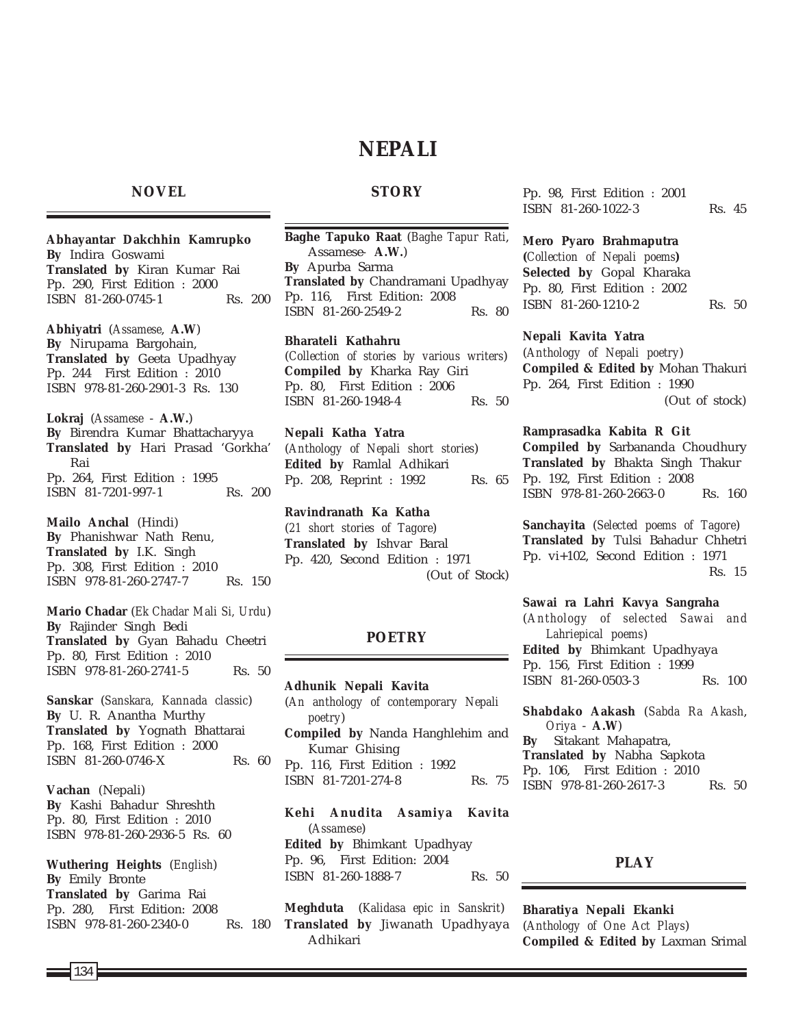# **NEPALI**

# **NOVEL**

**STORY**

**Abhayantar Dakchhin Kamrupko By** Indira Goswami **Translated by** Kiran Kumar Rai Pp. 290, First Edition : 2000 ISBN 81-260-0745-1 Rs. 200

**Abhiyatri** (*Assamese*, **A.W**) **By** Nirupama Bargohain, **Translated by** Geeta Upadhyay Pp. 244 First Edition : 2010 ISBN 978-81-260-2901-3 Rs. 130

**Lokraj** (*Assamese* - **A.W.**) **By** Birendra Kumar Bhattacharyya **Translated by** Hari Prasad 'Gorkha' Rai Pp. 264, First Edition : 1995 ISBN 81-7201-997-1 Rs. 200

**Mailo Anchal** (Hindi) **By** Phanishwar Nath Renu, **Translated by** I.K. Singh Pp. 308, First Edition : 2010 ISBN 978-81-260-2747-7 Rs. 150

**Mario Chadar** (*Ek Chadar Mali Si, Urdu*) **By** Rajinder Singh Bedi **Translated by** Gyan Bahadu Cheetri Pp. 80, First Edition : 2010 ISBN 978-81-260-2741-5 Rs. 50

**Sanskar** (*Sanskara, Kannada classic*) **By** U. R. Anantha Murthy **Translated by** Yognath Bhattarai Pp. 168, First Edition : 2000  $ISBN \quad 81-260-0746-X$  Rs. 60

**Vachan** (Nepali) **By** Kashi Bahadur Shreshth Pp. 80, First Edition : 2010 ISBN 978-81-260-2936-5 Rs. 60

**Wuthering Heights** (*English*) **By** Emily Bronte **Translated by** Garima Rai Pp. 280, First Edition: 2008 ISBN 978-81-260-2340-0 Rs. 180 **Baghe Tapuko Raat** (*Baghe Tapur Rati*, Assamese*-* **A.W.**) **By** Apurba Sarma **Translated by** Chandramani Upadhyay Pp. 116, First Edition: 2008 ISBN 81-260-2549-2 Rs. 80

**Bharateli Kathahru** (*Collection of stories by various writers*) **Compiled by** Kharka Ray Giri Pp. 80, First Edition : 2006 ISBN 81-260-1948-4 Rs. 50

**Nepali Katha Yatra** (*Anthology of Nepali short stories*) **Edited by** Ramlal Adhikari Pp. 208, Reprint : 1992 Rs. 65

**Ravindranath Ka Katha** (*21 short stories of Tagore*) **Translated by** Ishvar Baral Pp. 420, Second Edition : 1971 (Out of Stock)

# **POETRY**

**Adhunik Nepali Kavita** (*An anthology of contemporary Nepali poetry*) **Compiled by** Nanda Hanghlehim and Kumar Ghising Pp. 116, First Edition : 1992 ISBN 81-7201-274-8 Rs. 75

**Kehi Anudita Asamiya Kavita** (*Assamese*) **Edited by** Bhimkant Upadhyay Pp. 96, First Edition: 2004 ISBN 81-260-1888-7 Rs. 50

**Meghduta** (*Kalidasa epic in Sanskrit*) **Translated by** Jiwanath Upadhyaya Adhikari

Pp. 98, First Edition : 2001 ISBN 81-260-1022-3 Rs. 45

### **Mero Pyaro Brahmaputra**

**(***Collection of Nepali poems***) Selected by** Gopal Kharaka Pp. 80, First Edition : 2002 ISBN 81-260-1210-2 Rs. 50

### **Nepali Kavita Yatra**

(*Anthology of Nepali poetry*) **Compiled & Edited by** Mohan Thakuri Pp. 264, First Edition : 1990 (Out of stock)

**Ramprasadka Kabita R Git Compiled by** Sarbananda Choudhury **Translated by** Bhakta Singh Thakur Pp. 192, First Edition : 2008 ISBN 978-81-260-2663-0 Rs. 160

**Sanchayita** (*Selected poems of Tagore*) **Translated by** Tulsi Bahadur Chhetri Pp. vi+102, Second Edition : 1971 Rs. 15

**Sawai ra Lahri Kavya Sangraha** (*Anthology of selected Sawai and Lahriepical poems*) **Edited by** Bhimkant Upadhyaya Pp. 156, First Edition : 1999 ISBN 81-260-0503-3 Rs. 100

**Shabdako Aakash** (*Sabda Ra Akash*, *Oriya* - **A.W**) **By** Sitakant Mahapatra, **Translated by** Nabha Sapkota Pp. 106, First Edition : 2010 ISBN 978-81-260-2617-3 Rs. 50

# **PLAY**

**Bharatiya Nepali Ekanki** (*Anthology of One Act Plays*) **Compiled & Edited by** Laxman Srimal

134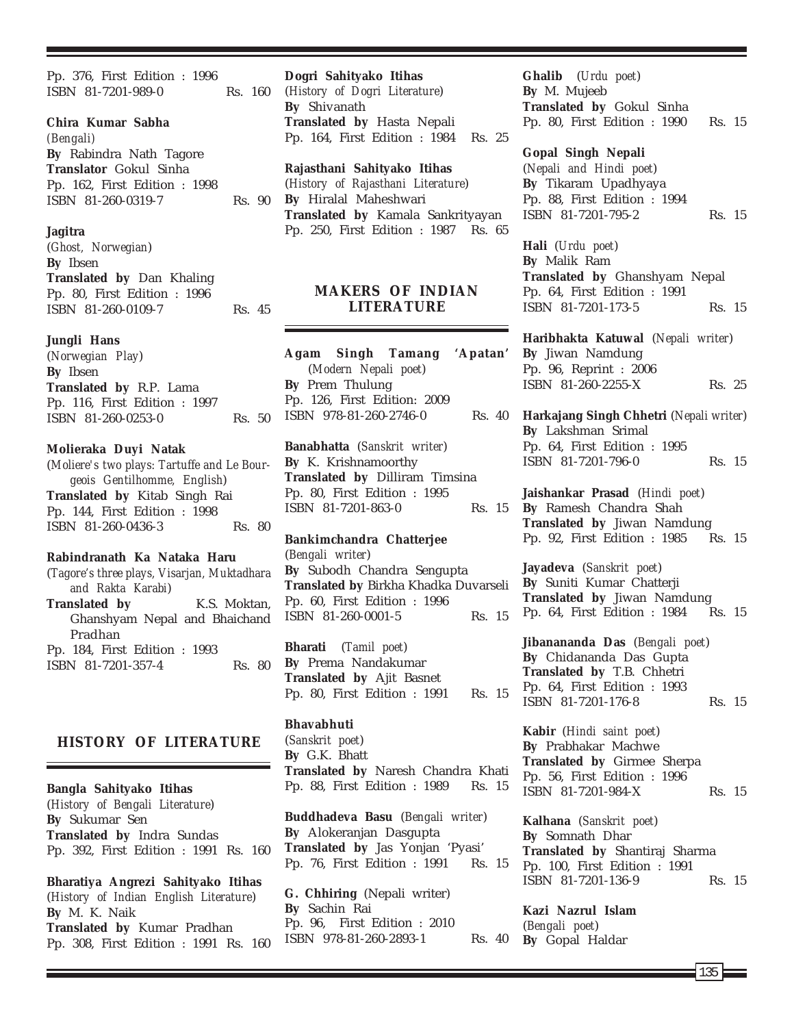Pp. 376, First Edition : 1996 ISBN 81-7201-989-0 Rs. 160

#### **Chira Kumar Sabha**

*(Bengali)* **By** Rabindra Nath Tagore **Translator** Gokul Sinha Pp. 162, First Edition : 1998 ISBN 81-260-0319-7 Rs. 90

### **Jagitra**

(*Ghost, Norwegian*) **By** Ibsen **Translated by** Dan Khaling Pp. 80, First Edition : 1996 ISBN 81-260-0109-7 Rs. 45

#### **Jungli Hans**

(*Norwegian Play*) **By** Ibsen **Translated by** R.P. Lama Pp. 116, First Edition : 1997 ISBN 81-260-0253-0 Rs. 50

### **Molieraka Duyi Natak**

(*Moliere's two plays: Tartuffe and Le Bourgeois Gentilhomme, English*) **Translated by** Kitab Singh Rai Pp. 144, First Edition : 1998 ISBN 81-260-0436-3 Rs. 80

### **Rabindranath Ka Nataka Haru**

(*Tagore's three plays, Visarjan, Muktadhara and Rakta Karabi*) **Translated by** K.S. Moktan, Ghanshyam Nepal and Bhaichand Pradhan Pp. 184, First Edition : 1993 ISBN 81-7201-357-4 Rs. 80

# **HISTORY OF LITERATURE**

**Bangla Sahityako Itihas** (*History of Bengali Literature*) **By** Sukumar Sen **Translated by** Indra Sundas Pp. 392, First Edition : 1991 Rs. 160

**Bharatiya Angrezi Sahityako Itihas** (*History of Indian English Literature*) **By** M. K. Naik **Translated by** Kumar Pradhan Pp. 308, First Edition : 1991 Rs. 160

**Dogri Sahityako Itihas** (*History of Dogri Literature*) **By** Shivanath **Translated by** Hasta Nepali Pp. 164, First Edition : 1984 Rs. 25

**Rajasthani Sahityako Itihas** (*History of Rajasthani Literature*) **By** Hiralal Maheshwari **Translated by** Kamala Sankrityayan Pp. 250, First Edition : 1987 Rs. 65

# **MAKERS OF INDIAN LITERATURE**

**Agam Singh Tamang 'Apatan'** (*Modern Nepali poet*) **By** Prem Thulung Pp. 126, First Edition: 2009 ISBN 978-81-260-2746-0 Rs. 40

**Banabhatta** (*Sanskrit writer*) **By** K. Krishnamoorthy **Translated by** Dilliram Timsina Pp. 80, First Edition : 1995 ISBN 81-7201-863-0 Rs. 15

### **Bankimchandra Chatterjee** (*Bengali writer*) **By** Subodh Chandra Sengupta **Translated by** Birkha Khadka Duvarseli Pp. 60, First Edition : 1996 ISBN 81-260-0001-5 Rs. 15

**Bharati** (*Tamil poet*) **By** Prema Nandakumar **Translated by** Ajit Basnet Pp. 80, First Edition : 1991 Rs. 15

**Bhavabhuti** (*Sanskrit poet*) **By** G.K. Bhatt **Translated by** Naresh Chandra Khati Pp. 88, First Edition : 1989 Rs. 15

**Buddhadeva Basu** (*Bengali writer*) **By** Alokeranjan Dasgupta **Translated by** Jas Yonjan 'Pyasi' Pp. 76, First Edition : 1991 Rs. 15

**G. Chhiring** (Nepali writer) **By** Sachin Rai Pp. 96, First Edition : 2010 ISBN 978-81-260-2893-1 Rs. 40 **Ghalib** (*Urdu poet*) **By** M. Mujeeb **Translated by** Gokul Sinha Pp. 80, First Edition : 1990 Rs. 15

#### **Gopal Singh Nepali**

(*Nepali and Hindi poet*) **By** Tikaram Upadhyaya Pp. 88, First Edition : 1994 ISBN 81-7201-795-2 Rs. 15

**Hali** (*Urdu poet*) **By** Malik Ram **Translated by** Ghanshyam Nepal Pp. 64, First Edition : 1991 ISBN 81-7201-173-5 Rs. 15

**Haribhakta Katuwal** (*Nepali writer*) **By** Jiwan Namdung Pp. 96, Reprint : 2006 ISBN 81-260-2255-X Rs. 25

**Harkajang Singh Chhetri** (*Nepali writer*) **By** Lakshman Srimal Pp. 64, First Edition : 1995 ISBN 81-7201-796-0 Rs. 15

**Jaishankar Prasad** (*Hindi poet*) **By** Ramesh Chandra Shah **Translated by** Jiwan Namdung Pp. 92, First Edition : 1985 Rs. 15

**Jayadeva** (*Sanskrit poet*) **By** Suniti Kumar Chatterji **Translated by** Jiwan Namdung Pp. 64, First Edition : 1984 Rs. 15

**Jibanananda Das** (*Bengali poet*) **By** Chidananda Das Gupta **Translated by** T.B. Chhetri Pp. 64, First Edition : 1993 ISBN 81-7201-176-8 Rs. 15

**Kabir** (*Hindi saint poet*) **By** Prabhakar Machwe **Translated by** Girmee Sherpa Pp. 56, First Edition : 1996 ISBN 81-7201-984-X Rs. 15

**Kalhana** (*Sanskrit poet*) **By** Somnath Dhar **Translated by** Shantiraj Sharma Pp. 100, First Edition : 1991 ISBN 81-7201-136-9 Rs. 15

**Kazi Nazrul Islam** (*Bengali poet*) **By** Gopal Haldar

135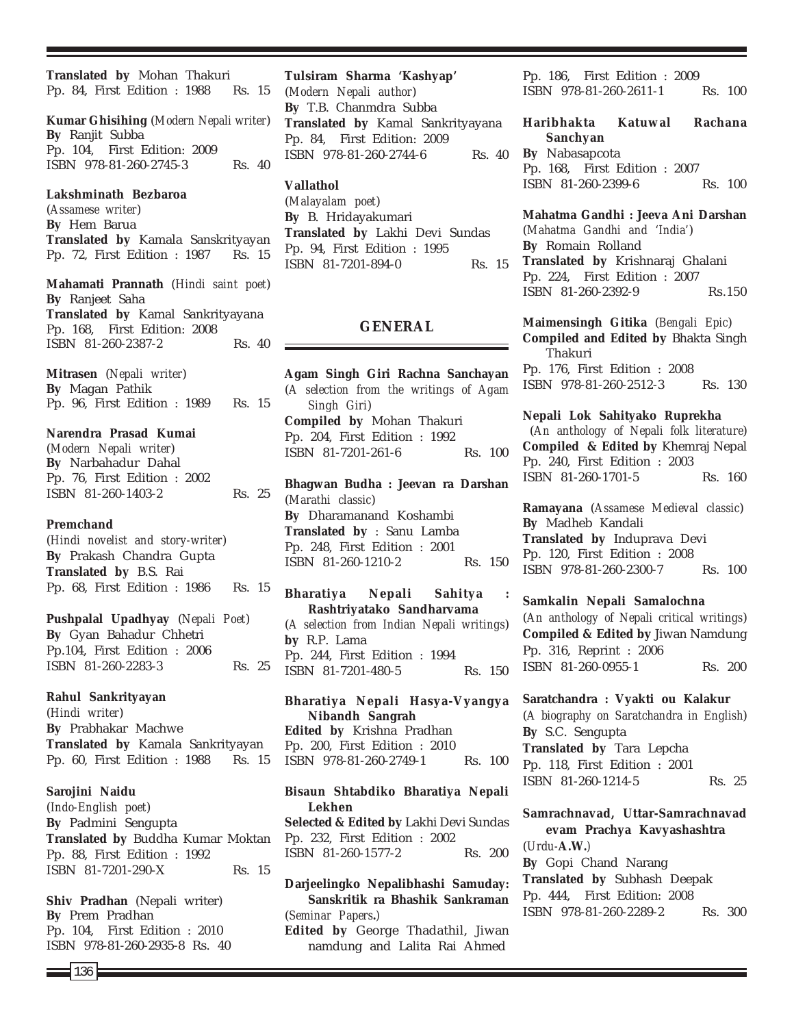**Translated by** Mohan Thakuri Pp. 84, First Edition : 1988 Rs. 15

**Kumar Ghisihing** (*Modern Nepali writer*) **By** Ranjit Subba Pp. 104, First Edition: 2009 ISBN 978-81-260-2745-3 Rs. 40

# **Lakshminath Bezbaroa**

(*Assamese writer*) **By** Hem Barua **Translated by** Kamala Sanskrityayan Pp. 72, First Edition : 1987 Rs. 15

**Mahamati Prannath** (*Hindi saint poet*) **By** Ranjeet Saha **Translated by** Kamal Sankrityayana Pp. 168, First Edition: 2008 ISBN 81-260-2387-2 Rs. 40

**Mitrasen** (*Nepali writer*) **By** Magan Pathik Pp. 96, First Edition : 1989 Rs. 15

**Narendra Prasad Kumai** (*Modern Nepali writer*) **By** Narbahadur Dahal Pp. 76, First Edition : 2002 ISBN 81-260-1403-2 Rs. 25

### **Premchand**

(*Hindi novelist and story-writer*) **By** Prakash Chandra Gupta **Translated by** B.S. Rai Pp. 68, First Edition : 1986 Rs. 15

**Pushpalal Upadhyay** (*Nepali Poet*) **By** Gyan Bahadur Chhetri Pp.104, First Edition : 2006 ISBN 81-260-2283-3 Rs. 25

### **Rahul Sankrityayan**

(*Hindi writer*) **By** Prabhakar Machwe **Translated by** Kamala Sankrityayan Pp. 60, First Edition : 1988 Rs. 15

# **Sarojini Naidu**

(*Indo-English poet*) **By** Padmini Sengupta **Translated by** Buddha Kumar Moktan Pp. 88, First Edition : 1992 ISBN 81-7201-290-X Rs. 15

**Shiv Pradhan** (Nepali writer) **By** Prem Pradhan Pp. 104, First Edition : 2010 ISBN 978-81-260-2935-8 Rs. 40

**Tulsiram Sharma 'Kashyap'** (*Modern Nepali author*) **By** T.B. Chanmdra Subba **Translated by** Kamal Sankrityayana Pp. 84, First Edition: 2009

ISBN 978-81-260-2744-6 Rs. 40

### **Vallathol**

(*Malayalam poet*) **By** B. Hridayakumari **Translated by** Lakhi Devi Sundas Pp. 94, First Edition : 1995 ISBN 81-7201-894-0 Rs. 15

### **GENERAL**

**Agam Singh Giri Rachna Sanchayan** (*A selection from the writings of Agam Singh Giri*) **Compiled by** Mohan Thakuri Pp. 204, First Edition : 1992 ISBN 81-7201-261-6 Rs. 100

**Bhagwan Budha : Jeevan ra Darshan** (*Marathi classic*) **By** Dharamanand Koshambi **Translated by** : Sanu Lamba Pp. 248, First Edition : 2001 ISBN 81-260-1210-2 Rs. 150

**Bharatiya Nepali Sahitya : Rashtriyatako Sandharvama** (*A selection from Indian Nepali writings*) **by** R.P. Lama Pp. 244, First Edition : 1994 ISBN 81-7201-480-5 Rs. 150

**Bharatiya Nepali Hasya-Vyangya Nibandh Sangrah Edited by** Krishna Pradhan Pp. 200, First Edition : 2010 ISBN 978-81-260-2749-1 Rs. 100

**Bisaun Shtabdiko Bharatiya Nepali Lekhen Selected & Edited by** Lakhi Devi Sundas Pp. 232, First Edition : 2002 ISBN 81-260-1577-2 Rs. 200

**Darjeelingko Nepalibhashi Samuday: Sanskritik ra Bhashik Sankraman** (*Seminar Papers***.***)* **Edited by** George Thadathil, Jiwan namdung and Lalita Rai Ahmed

Pp. 186, First Edition : 2009 ISBN 978-81-260-2611-1 Rs. 100

**Haribhakta Katuwal Rachana Sanchyan By** Nabasapcota Pp. 168, First Edition : 2007

ISBN 81-260-2399-6 Rs. 100

**Mahatma Gandhi : Jeeva Ani Darshan** (*Mahatma Gandhi and 'India'*) **By** Romain Rolland **Translated by** Krishnaraj Ghalani Pp. 224, First Edition : 2007 ISBN 81-260-2392-9 Rs.150

**Maimensingh Gitika** (*Bengali Epic*) **Compiled and Edited by** Bhakta Singh Thakuri Pp. 176, First Edition : 2008 ISBN 978-81-260-2512-3 Rs. 130

**Nepali Lok Sahityako Ruprekha** (*An anthology of Nepali folk literature*) **Compiled & Edited by** Khemraj Nepal Pp. 240, First Edition : 2003 ISBN 81-260-1701-5 Rs. 160

**Ramayana** (*Assamese Medieval classic*) **By** Madheb Kandali **Translated by** Induprava Devi Pp. 120, First Edition : 2008 ISBN 978-81-260-2300-7 Rs. 100

**Samkalin Nepali Samalochna** (*An anthology of Nepali critical writings*) **Compiled & Edited by** Jiwan Namdung Pp. 316, Reprint : 2006 ISBN 81-260-0955-1 Rs. 200

**Saratchandra : Vyakti ou Kalakur** (*A biography on Saratchandra in English*) **By** S.C. Sengupta **Translated by** Tara Lepcha Pp. 118, First Edition : 2001 ISBN 81-260-1214-5 Rs. 25

**Samrachnavad, Uttar-Samrachnavad evam Prachya Kavyashashtra** (*Urdu-***A.W.***)* **By** Gopi Chand Narang **Translated by** Subhash Deepak Pp. 444, First Edition: 2008 ISBN 978-81-260-2289-2 Rs. 300

136